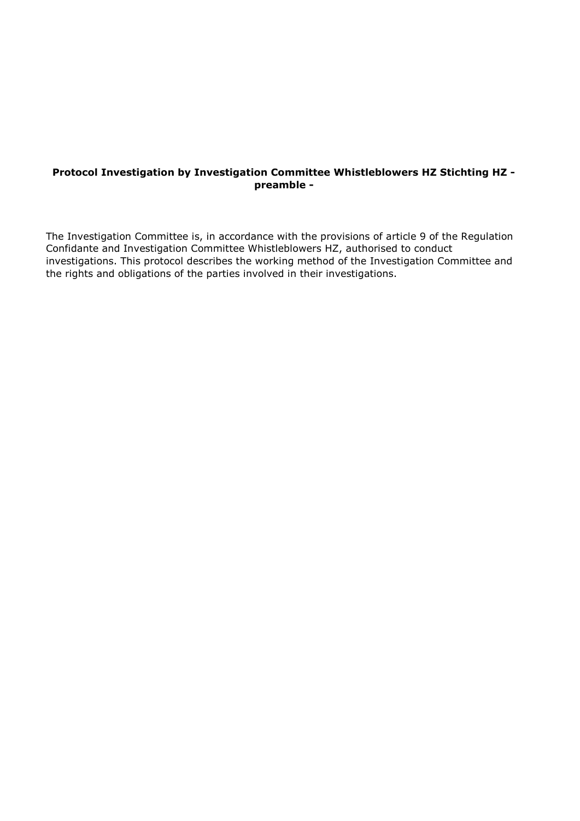### **Protocol Investigation by Investigation Committee Whistleblowers HZ Stichting HZ preamble -**

The Investigation Committee is, in accordance with the provisions of article 9 of the Regulation Confidante and Investigation Committee Whistleblowers HZ, authorised to conduct investigations. This protocol describes the working method of the Investigation Committee and the rights and obligations of the parties involved in their investigations.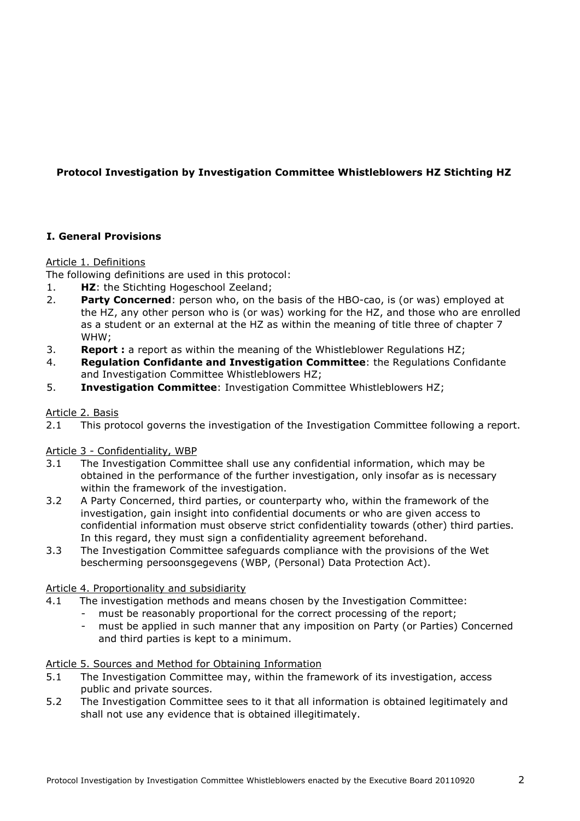# **Protocol Investigation by Investigation Committee Whistleblowers HZ Stichting HZ**

## **I. General Provisions**

### Article 1. Definitions

The following definitions are used in this protocol:

- 1. **HZ**: the Stichting Hogeschool Zeeland;
- 2. **Party Concerned**: person who, on the basis of the HBO-cao, is (or was) employed at the HZ, any other person who is (or was) working for the HZ, and those who are enrolled as a student or an external at the HZ as within the meaning of title three of chapter 7 WHW;
- 3. **Report :** a report as within the meaning of the Whistleblower Regulations HZ;
- 4. **Regulation Confidante and Investigation Committee**: the Regulations Confidante and Investigation Committee Whistleblowers HZ;
- 5. **Investigation Committee**: Investigation Committee Whistleblowers HZ;

### Article 2. Basis

2.1 This protocol governs the investigation of the Investigation Committee following a report.

## Article 3 - Confidentiality, WBP

- 3.1 The Investigation Committee shall use any confidential information, which may be obtained in the performance of the further investigation, only insofar as is necessary within the framework of the investigation.
- 3.2 A Party Concerned, third parties, or counterparty who, within the framework of the investigation, gain insight into confidential documents or who are given access to confidential information must observe strict confidentiality towards (other) third parties. In this regard, they must sign a confidentiality agreement beforehand.
- 3.3 The Investigation Committee safeguards compliance with the provisions of the Wet bescherming persoonsgegevens (WBP, (Personal) Data Protection Act).

## Article 4. Proportionality and subsidiarity

- 4.1 The investigation methods and means chosen by the Investigation Committee:
	- must be reasonably proportional for the correct processing of the report;
	- must be applied in such manner that any imposition on Party (or Parties) Concerned and third parties is kept to a minimum.

## Article 5. Sources and Method for Obtaining Information

- 5.1 The Investigation Committee may, within the framework of its investigation, access public and private sources.
- 5.2 The Investigation Committee sees to it that all information is obtained legitimately and shall not use any evidence that is obtained illegitimately.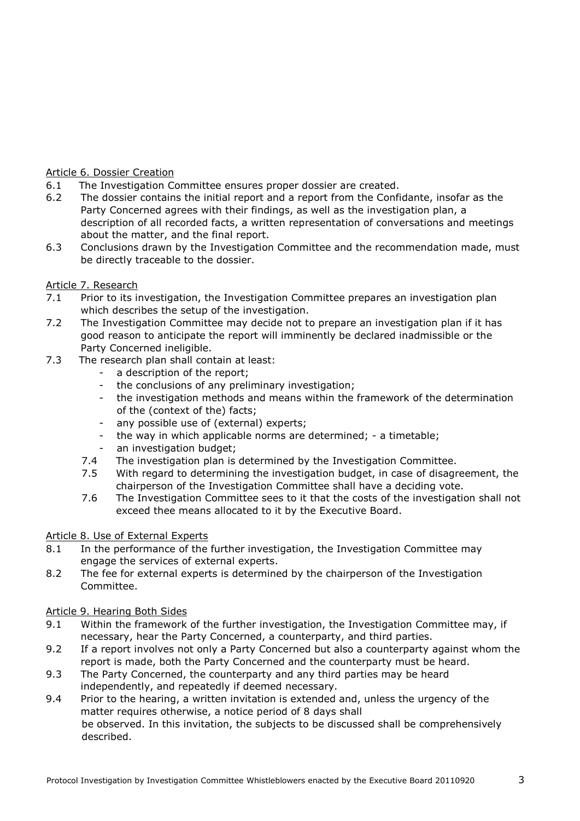## Article 6. Dossier Creation

- 6.1 The Investigation Committee ensures proper dossier are created.
- 6.2 The dossier contains the initial report and a report from the Confidante, insofar as the Party Concerned agrees with their findings, as well as the investigation plan, a description of all recorded facts, a written representation of conversations and meetings about the matter, and the final report.
- 6.3 Conclusions drawn by the Investigation Committee and the recommendation made, must be directly traceable to the dossier.

## Article 7. Research

- 7.1 Prior to its investigation, the Investigation Committee prepares an investigation plan which describes the setup of the investigation.
- 7.2 The Investigation Committee may decide not to prepare an investigation plan if it has good reason to anticipate the report will imminently be declared inadmissible or the Party Concerned ineligible.
- 7.3 The research plan shall contain at least:
	- a description of the report;
	- the conclusions of any preliminary investigation;
	- the investigation methods and means within the framework of the determination of the (context of the) facts;
	- any possible use of (external) experts;
	- the way in which applicable norms are determined; a timetable;
	- an investigation budget;
	- 7.4 The investigation plan is determined by the Investigation Committee.
	- 7.5 With regard to determining the investigation budget, in case of disagreement, the chairperson of the Investigation Committee shall have a deciding vote.
	- 7.6 The Investigation Committee sees to it that the costs of the investigation shall not exceed thee means allocated to it by the Executive Board.

## Article 8. Use of External Experts

- 8.1 In the performance of the further investigation, the Investigation Committee may engage the services of external experts.
- 8.2 The fee for external experts is determined by the chairperson of the Investigation Committee.

## Article 9. Hearing Both Sides

- 9.1 Within the framework of the further investigation, the Investigation Committee may, if necessary, hear the Party Concerned, a counterparty, and third parties.
- 9.2 If a report involves not only a Party Concerned but also a counterparty against whom the report is made, both the Party Concerned and the counterparty must be heard.
- 9.3 The Party Concerned, the counterparty and any third parties may be heard independently, and repeatedly if deemed necessary.
- 9.4 Prior to the hearing, a written invitation is extended and, unless the urgency of the matter requires otherwise, a notice period of 8 days shall be observed. In this invitation, the subjects to be discussed shall be comprehensively described.